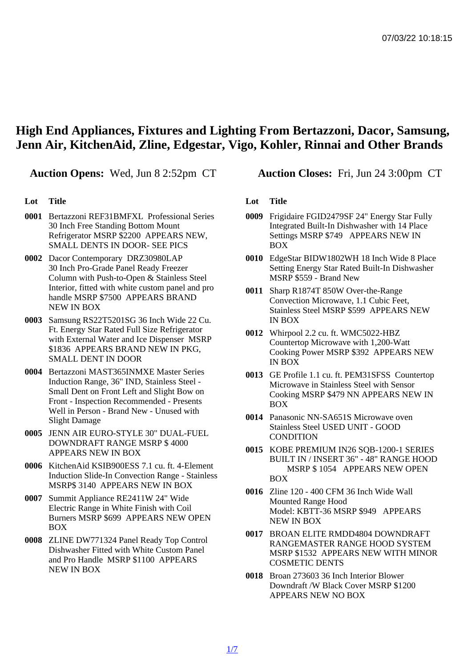High End Appliances, Fixtures and Lighting From Bertazzoni, Dacor, Samsung, Jenn Air, KitchenAid, Zline, Edgestar, Vigo, Kohler, Rinnai and Other Brands

Auction Opens: Wed, Jun 8 2:52pm CT Auction Closes: Fri, Jun 24 3:00pm CT

Lot Title

- 0001 Bertazzoni REF31BMFXL Professional Series 30 Inch Free Standing Bottom Mount Refrigerator MSRP \$2200 APPEARS NEW, SMALL DENTS IN DOOR- SEE PICS
- 0002 Dacor Contemporary DRZ30980LAP 30 Inch Pro-Grade Panel Ready Freezer Column with Push-to-Open & Stainless Steel Interior, fitted with white custom panel and pro handle MSRP \$7500 APPEARS BRAND NEW IN BOX
- 0003 Samsung RS22T5201SG 36 Inch Wide 22 Cu. Ft. Energy Star Rated Full Size Refrigerator with External Water and Ice Dispenser MSRP \$1836 APPEARS BRAND NEW IN PKG, SMALL DENT IN DOOR
- 0004 Bertazzoni MAST365INMXE Master Series Induction Range, 36" IND, Stainless Steel - Small Dent on Front Left and Slight Bow on Front - Inspection Recommended - Presents Well in Person - Brand New - Unused with Slight Damage
- 0005 JENN AIR EURO-STYLE 30" DUAL-FUEL DOWNDRAFT RANGE MSRP \$ 4000 APPEARS NEW IN BOX
- 0006 KitchenAid KSIB900ESS 7.1 cu. ft. 4-Element Induction Slide-In Convection Range - Stainless MSRP\$ 3140 APPEARS NEW IN BOX
- 0007 Summit Appliance RE2411W 24" Wide Electric Range in White Finish with Coil Burners MSRP \$699 APPEARS NEW OPEN BOX
- 0008 ZLINE DW771324 Panel Ready Top Control Dishwasher Fitted with White Custom Panel and Pro Handle MSRP \$1100 APPEARS NEW IN BOX

- 0009 Frigidaire FGID2479SF 24" Energy Star Fully Integrated Built-In Dishwasher with 14 Place Settings MSRP \$749 APPEARS NEW IN BOX
- 0010 EdgeStar BIDW1802WH 18 Inch Wide 8 Place Setting Energy Star Rated Built-In Dishwasher MSRP \$559 - Brand New
- 0011 Sharp R1874T 850W Over-the-Range Convection Microwave, 1.1 Cubic Feet, Stainless Steel MSRP \$599 APPEARS NEW IN BOX
- 0012 Whirpool 2.2 cu. ft. WMC5022-HBZ Countertop Microwave with 1,200-Watt Cooking Power MSRP \$392 APPEARS NEW IN BOX
- 0013 GE Profile 1.1 cu. ft. PEM31SFSS Countertop Microwave in Stainless Steel with Sensor Cooking MSRP \$479 NN APPEARS NEW IN BOX
- 0014 Panasonic NN-SA651S Microwave oven Stainless Steel USED UNIT - GOOD **CONDITION**
- 0015 KOBE PREMIUM IN26 SQB-1200-1 SERIES BUILT IN / INSERT 36" - 48" RANGE HOOD MSRP \$ 1054 APPEARS NEW OPEN BOX
- 0016 Zline 120 400 CFM 36 Inch Wide Wall Mounted Range Hood Model: KBTT-36 MSRP \$949 APPEARS NEW IN BOX
- 0017 BROAN ELITE RMDD4804 DOWNDRAFT RANGEMASTER RANGE HOOD SYSTEM MSRP \$1532 APPEARS NEW WITH MINOR COSMETIC DENTS
- 0018 Broan 273603 36 Inch Interior Blower Downdraft /W Black Cover MSRP \$1200 APPEARS NEW NO BOX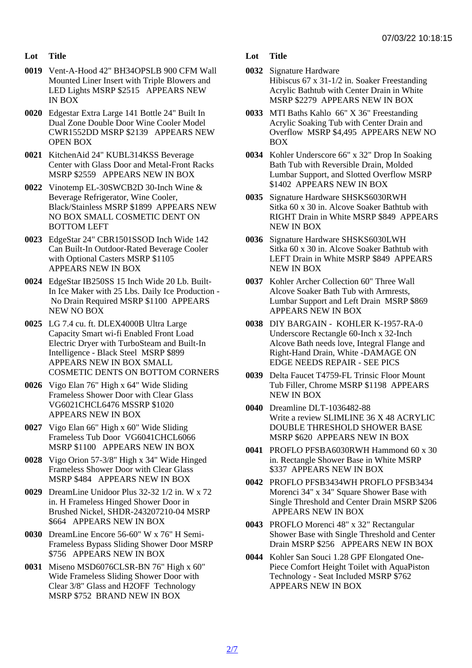- Lot Title
- 0019 Vent-A-Hood 42" BH34OPSLB 900 CFM Wall Mounted Liner Insert with Triple Blowers and LED Lights MSRP \$2515 APPEARS NEW IN BOX
- 0020 Edgestar Extra Large 141 Bottle 24" Built In Dual Zone Double Door Wine Cooler Model CWR1552DD MSRP \$2139 APPEARS NEW OPEN BOX
- 0021 KitchenAid 24" KUBL314KSS Beverage Center with Glass Door and Metal-Front Racks MSRP \$2559 APPEARS NEW IN BOX
- 0022 Vinotemp EL-30SWCB2D 30-Inch Wine & Beverage Refrigerator, Wine Cooler, Black/Stainless MSRP \$1899 APPEARS NEW NO BOX SMALL COSMETIC DENT ON BOTTOM LEFT
- 0023 EdgeStar 24" CBR1501SSOD Inch Wide 142 Can Built-In Outdoor-Rated Beverage Cooler with Optional Casters MSRP \$1105 APPEARS NEW IN BOX
- 0024 EdgeStar IB250SS 15 Inch Wide 20 Lb. Built-In Ice Maker with 25 Lbs. Daily Ice Production - No Drain Required MSRP \$1100 APPEARS NEW NO BOX
- 0025 LG 7.4 cu. ft. DLEX4000B Ultra Large Capacity Smart wi-fi Enabled Front Load Electric Dryer with TurboSteam and Built-In Intelligence - Black Steel MSRP \$899 APPEARS NEW IN BOX SMALL COSMETIC DENTS ON BOTTOM CORNERS
- 0026 Vigo Elan 76" High x 64" Wide Sliding Frameless Shower Door with Clear Glass VG6021CHCL6476 MSSRP \$1020 APPEARS NEW IN BOX
- 0027 Vigo Elan 66" High x 60" Wide Sliding Frameless Tub Door VG6041CHCL6066 MSRP \$1100 APPEARS NEW IN BOX
- 0028 Vigo Orion 57-3/8" High x 34" Wide Hinged Frameless Shower Door with Clear Glass MSRP \$484 APPEARS NEW IN BOX
- 0029 DreamLine Unidoor Plus 32-32 1/2 in. W x 72 in. H Frameless Hinged Shower Door in Brushed Nickel, SHDR-243207210-04 MSRP \$664 APPEARS NEW IN BOX
- 0030 DreamLine Encore 56-60" W x 76" H Semi-Frameless Bypass Sliding Shower Door MSRP \$756 APPEARS NEW IN BOX
- 0031 Miseno MSD6076CLSR-BN 76" High x 60" Wide Frameless Sliding Shower Door with Clear 3/8" Glass and H2OFF Technology MSRP \$752 BRAND NEW IN BOX
- Lot Title
- 0032 Signature Hardware Hibiscus 67 x 31-1/2 in. Soaker Freestanding Acrylic Bathtub with Center Drain in White MSRP \$2279 APPEARS NEW IN BOX
- 0033 MTI Baths Kahlo 66" X 36" Freestanding Acrylic Soaking Tub with Center Drain and Overflow MSRP \$4,495 APPEARS NEW NO BOX
- 0034 Kohler Underscore 66" x 32" Drop In Soaking Bath Tub with Reversible Drain, Molded Lumbar Support, and Slotted Overflow MSRP \$1402 APPEARS NEW IN BOX
- 0035 Signature Hardware SHSKS6030RWH Sitka 60 x 30 in. Alcove Soaker Bathtub with RIGHT Drain in White MSRP \$849 APPEARS NEW IN BOX
- 0036 Signature Hardware SHSKS6030LWH Sitka 60 x 30 in. Alcove Soaker Bathtub with LEFT Drain in White MSRP \$849 APPEARS NEW IN BOX
- 0037 Kohler Archer Collection 60" Three Wall Alcove Soaker Bath Tub with Armrests, Lumbar Support and Left Drain MSRP \$869 APPEARS NEW IN BOX
- 0038 DIY BARGAIN KOHLER K-1957-RA-0 Underscore Rectangle 60-Inch x 32-Inch Alcove Bath needs love, Integral Flange and Right-Hand Drain, White -DAMAGE ON EDGE NEEDS REPAIR - SEE PICS
- 0039 Delta Faucet T4759-FL Trinsic Floor Mount Tub Filler, Chrome MSRP \$1198 APPEARS NEW IN BOX
- 0040 Dreamline DLT-1036482-88 Write a review SLIMLINE 36 X 48 ACRYLIC DOUBLE THRESHOLD SHOWER BASE MSRP \$620 APPEARS NEW IN BOX
- 0041 PROFLO PFSBA6030RWH Hammond 60 x 30 in. Rectangle Shower Base in White MSRP \$337 APPEARS NEW IN BOX
- 0042 PROFLO PFSB3434WH PROFLO PFSB3434 Morenci 34" x 34" Square Shower Base with Single Threshold and Center Drain MSRP \$206 APPEARS NEW IN BOX
- 0043 PROFLO Morenci 48" x 32" Rectangular Shower Base with Single Threshold and Center Drain MSRP \$256 APPEARS NEW IN BOX
- 0044 Kohler San Souci 1.28 GPF Elongated One-Piece Comfort Height Toilet with AquaPiston Technology - Seat Included MSRP \$762 APPEARS NEW IN BOX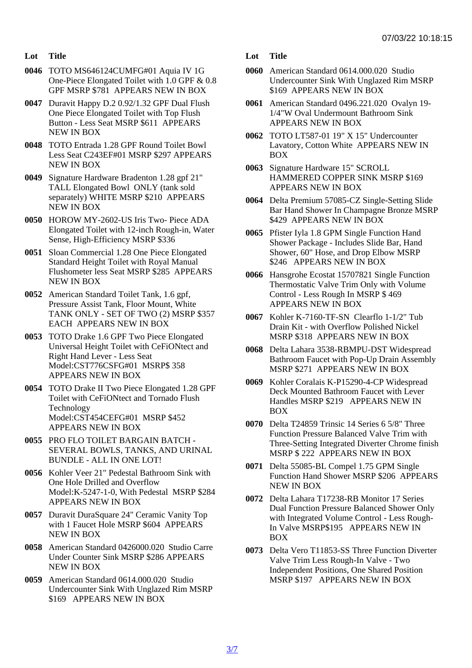- Lot Title
- 0046 TOTO MS646124CUMFG#01 Aquia IV 1G One-Piece Elongated Toilet with 1.0 GPF & 0.8 GPF MSRP \$781 APPEARS NEW IN BOX
- 0047 Duravit Happy D.2 0.92/1.32 GPF Dual Flush One Piece Elongated Toilet with Top Flush Button - Less Seat MSRP \$611 APPEARS NEW IN BOX
- 0048 TOTO Entrada 1.28 GPF Round Toilet Bowl Less Seat C243EF#01 MSRP \$297 APPEARS NEW IN BOX
- 0049 Signature Hardware Bradenton 1.28 gpf 21" TALL Elongated Bowl ONLY (tank sold separately) WHITE MSRP \$210 APPEARS NEW IN BOX
- 0050 HOROW MY-2602-US Iris Two- Piece ADA Elongated Toilet with 12-inch Rough-in, Water Sense, High-Efficiency MSRP \$336
- 0051 Sloan Commercial 1.28 One Piece Elongated Standard Height Toilet with Royal Manual Flushometer less Seat MSRP \$285 APPEARS NEW IN BOX
- 0052 American Standard Toilet Tank, 1.6 gpf, Pressure Assist Tank, Floor Mount, White TANK ONLY - SET OF TWO (2) MSRP \$357 EACH APPEARS NEW IN BOX
- 0053 TOTO Drake 1.6 GPF Two Piece Elongated Universal Height Toilet with CeFiONtect and Right Hand Lever - Less Seat Model:CST776CSFG#01 MSRP\$ 358 APPEARS NEW IN BOX
- 0054 TOTO Drake II Two Piece Elongated 1.28 GPF Toilet with CeFiONtect and Tornado Flush **Technology** Model:CST454CEFG#01 MSRP \$452 APPEARS NEW IN BOX
- 0055 PRO FLO TOILET BARGAIN BATCH SEVERAL BOWLS, TANKS, AND URINAL BUNDLE - ALL IN ONE LOT!
- 0056 Kohler Veer 21" Pedestal Bathroom Sink with One Hole Drilled and Overflow Model:K-5247-1-0, With Pedestal MSRP \$284 APPEARS NEW IN BOX
- 0057 Duravit DuraSquare 24" Ceramic Vanity Top with 1 Faucet Hole MSRP \$604 APPEARS NEW IN BOX
- 0058 American Standard 0426000.020 Studio Carre Under Counter Sink MSRP \$286 APPEARS NEW IN BOX
- 0059 American Standard 0614.000.020 Studio Undercounter Sink With Unglazed Rim MSRP \$169 APPEARS NEW IN BOX

- 0060 American Standard 0614.000.020 Studio Undercounter Sink With Unglazed Rim MSRP \$169 APPEARS NEW IN BOX
- 0061 American Standard 0496.221.020 Ovalyn 19- 1/4"W Oval Undermount Bathroom Sink APPEARS NEW IN BOX
- 0062 TOTO LT587-01 19" X 15" Undercounter Lavatory, Cotton White APPEARS NEW IN BOX
- 0063 Signature Hardware 15" SCROLL HAMMERED COPPER SINK MSRP \$169 APPEARS NEW IN BOX
- 0064 Delta Premium 57085-CZ Single-Setting Slide Bar Hand Shower In Champagne Bronze MSRP \$429 APPEARS NEW IN BOX
- 0065 Pfister Iyla 1.8 GPM Single Function Hand Shower Package - Includes Slide Bar, Hand Shower, 60" Hose, and Drop Elbow MSRP \$246 APPEARS NEW IN BOX
- 0066 Hansgrohe Ecostat 15707821 Single Function Thermostatic Valve Trim Only with Volume Control - Less Rough In MSRP \$ 469 APPEARS NEW IN BOX
- 0067 Kohler K-7160-TF-SN Clearflo 1-1/2" Tub Drain Kit - with Overflow Polished Nickel MSRP \$318 APPEARS NEW IN BOX
- 0068 Delta Lahara 3538-RBMPU-DST Widespread Bathroom Faucet with Pop-Up Drain Assembly MSRP \$271 APPEARS NEW IN BOX
- 0069 Kohler Coralais K-P15290-4-CP Widespread Deck Mounted Bathroom Faucet with Lever Handles MSRP \$219 APPEARS NEW IN BOX
- 0070 Delta T24859 Trinsic 14 Series 6 5/8" Three Function Pressure Balanced Valve Trim with Three-Setting Integrated Diverter Chrome finish MSRP \$ 222 APPEARS NEW IN BOX
- 0071 Delta 55085-BL Compel 1.75 GPM Single Function Hand Shower MSRP \$206 APPEARS NEW IN BOX
- 0072 Delta Lahara T17238-RB Monitor 17 Series Dual Function Pressure Balanced Shower Only with Integrated Volume Control - Less Rough-In Valve MSRP\$195 APPEARS NEW IN BOX
- 0073 Delta Vero T11853-SS Three Function Diverter Valve Trim Less Rough-In Valve - Two Independent Positions, One Shared Position MSRP \$197 APPEARS NEW IN BOX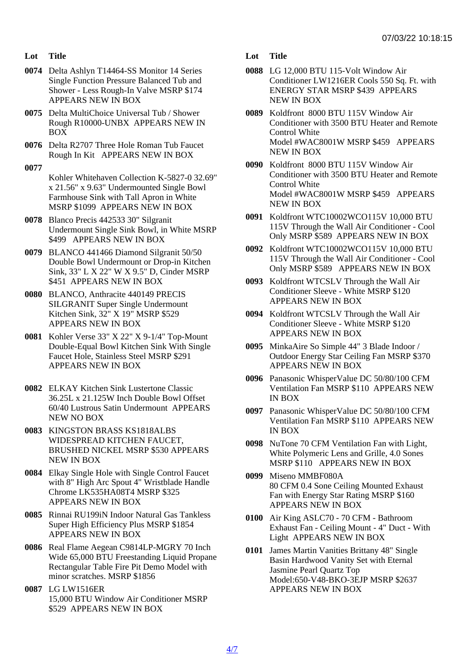- Lot Title
- 0074 Delta Ashlyn T14464-SS Monitor 14 Series Single Function Pressure Balanced Tub and Shower - Less Rough-In Valve MSRP \$174 APPEARS NEW IN BOX
- 0075 Delta MultiChoice Universal Tub / Shower Rough R10000-UNBX APPEARS NEW IN BOX
- 0076 Delta R2707 Three Hole Roman Tub Faucet Rough In Kit APPEARS NEW IN BOX
- 0077

Kohler Whitehaven Collection K-5827-0 32.69" x 21.56" x 9.63" Undermounted Single Bowl Farmhouse Sink with Tall Apron in White MSRP \$1099 APPEARS NEW IN BOX

- 0078 Blanco Precis 442533 30" Silgranit Undermount Single Sink Bowl, in White MSRP \$499 APPEARS NEW IN BOX
- 0079 BLANCO 441466 Diamond Silgranit 50/50 Double Bowl Undermount or Drop-in Kitchen Sink, 33" L X 22" W X 9.5" D, Cinder MSRP \$451 APPEARS NEW IN BOX
- 0080 BLANCO, Anthracite 440149 PRECIS SILGRANIT Super Single Undermount Kitchen Sink, 32" X 19" MSRP \$529 APPEARS NEW IN BOX
- 0081 Kohler Verse 33" X 22" X 9-1/4" Top-Mount Double-Equal Bowl Kitchen Sink With Single Faucet Hole, Stainless Steel MSRP \$291 APPEARS NEW IN BOX
- 0082 ELKAY Kitchen Sink Lustertone Classic 36.25L x 21.125W Inch Double Bowl Offset 60/40 Lustrous Satin Undermount APPEARS NEW NO BOX
- 0083 KINGSTON BRASS KS1818ALBS WIDESPREAD KITCHEN FAUCET, BRUSHED NICKEL MSRP \$530 APPEARS NEW IN BOX
- 0084 Elkay Single Hole with Single Control Faucet with 8" High Arc Spout 4" Wristblade Handle Chrome LK535HA08T4 MSRP \$325 APPEARS NEW IN BOX
- 0085 Rinnai RU199iN Indoor Natural Gas Tankless Super High Efficiency Plus MSRP \$1854 APPEARS NEW IN BOX
- 0086 Real Flame Aegean C9814LP-MGRY 70 Inch Wide 65,000 BTU Freestanding Liquid Propane Rectangular Table Fire Pit Demo Model with minor scratches. MSRP \$1856
- 0087 LG LW1516ER 15,000 BTU Window Air Conditioner MSRP \$529 APPEARS NEW IN BOX

- 0088 LG 12,000 BTU 115-Volt Window Air Conditioner LW1216ER Cools 550 Sq. Ft. with ENERGY STAR MSRP \$439 APPEARS NEW IN BOX
- 0089 Koldfront 8000 BTU 115V Window Air Conditioner with 3500 BTU Heater and Remote Control White Model #WAC8001W MSRP \$459 APPEARS NEW IN BOX
- 0090 Koldfront 8000 BTU 115V Window Air Conditioner with 3500 BTU Heater and Remote Control White Model #WAC8001W MSRP \$459 APPEARS NEW IN BOX
- 0091 Koldfront WTC10002WCO115V 10,000 BTU 115V Through the Wall Air Conditioner - Cool Only MSRP \$589 APPEARS NEW IN BOX
- 0092 Koldfront WTC10002WCO115V 10,000 BTU 115V Through the Wall Air Conditioner - Cool Only MSRP \$589 APPEARS NEW IN BOX
- 0093 Koldfront WTCSLV Through the Wall Air Conditioner Sleeve - White MSRP \$120 APPEARS NEW IN BOX
- 0094 Koldfront WTCSLV Through the Wall Air Conditioner Sleeve - White MSRP \$120 APPEARS NEW IN BOX
- 0095 MinkaAire So Simple 44" 3 Blade Indoor / Outdoor Energy Star Ceiling Fan MSRP \$370 APPEARS NEW IN BOX
- 0096 Panasonic WhisperValue DC 50/80/100 CFM Ventilation Fan MSRP \$110 APPEARS NEW IN BOX
- 0097 Panasonic WhisperValue DC 50/80/100 CFM Ventilation Fan MSRP \$110 APPEARS NEW IN BOX
- 0098 NuTone 70 CFM Ventilation Fan with Light, White Polymeric Lens and Grille, 4.0 Sones MSRP \$110 APPEARS NEW IN BOX
- 0099 Miseno MMBF080A 80 CFM 0.4 Sone Ceiling Mounted Exhaust Fan with Energy Star Rating MSRP \$160 APPEARS NEW IN BOX
- 0100 Air King ASLC70 70 CFM Bathroom Exhaust Fan - Ceiling Mount - 4" Duct - With Light APPEARS NEW IN BOX
- 0101 James Martin Vanities Brittany 48" Single Basin Hardwood Vanity Set with Eternal Jasmine Pearl Quartz Top Model:650-V48-BKO-3EJP MSRP \$2637 APPEARS NEW IN BOX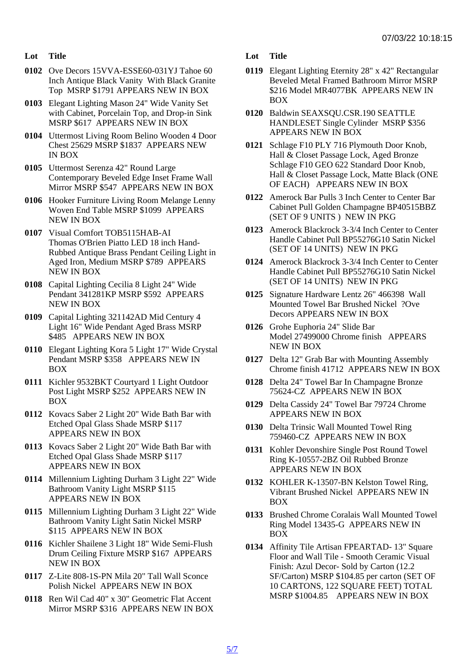- Lot Title
- 0102 Ove Decors 15VVA-ESSE60-031YJ Tahoe 60 Inch Antique Black Vanity With Black Granite Top MSRP \$1791 APPEARS NEW IN BOX
- 0103 Elegant Lighting Mason 24" Wide Vanity Set with Cabinet, Porcelain Top, and Drop-in Sink MSRP \$617 APPEARS NEW IN BOX
- 0104 Uttermost Living Room Belino Wooden 4 Door Chest 25629 MSRP \$1837 APPEARS NEW IN BOX
- 0105 Uttermost Serenza 42" Round Large Contemporary Beveled Edge Inset Frame Wall Mirror MSRP \$547 APPEARS NEW IN BOX
- 0106 Hooker Furniture Living Room Melange Lenny Woven End Table MSRP \$1099 APPEARS NEW IN BOX
- 0107 Visual Comfort TOB5115HAB-AI Thomas O'Brien Piatto LED 18 inch Hand-Rubbed Antique Brass Pendant Ceiling Light in Aged Iron, Medium MSRP \$789 APPEARS NEW IN BOX
- 0108 Capital Lighting Cecilia 8 Light 24" Wide Pendant 341281KP MSRP \$592 APPEARS NEW IN BOX
- 0109 Capital Lighting 321142AD Mid Century 4 Light 16" Wide Pendant Aged Brass MSRP \$485 APPEARS NEW IN BOX
- 0110 Elegant Lighting Kora 5 Light 17" Wide Crystal Pendant MSRP \$358 APPEARS NEW IN BOX
- 0111 Kichler 9532BKT Courtyard 1 Light Outdoor Post Light MSRP \$252 APPEARS NEW IN BOX
- 0112 Kovacs Saber 2 Light 20" Wide Bath Bar with Etched Opal Glass Shade MSRP \$117 APPEARS NEW IN BOX
- 0113 Kovacs Saber 2 Light 20" Wide Bath Bar with Etched Opal Glass Shade MSRP \$117 APPEARS NEW IN BOX
- 0114 Millennium Lighting Durham 3 Light 22" Wide Bathroom Vanity Light MSRP \$115 APPEARS NEW IN BOX
- 0115 Millennium Lighting Durham 3 Light 22" Wide Bathroom Vanity Light Satin Nickel MSRP \$115 APPEARS NEW IN BOX
- 0116 Kichler Shailene 3 Light 18" Wide Semi-Flush Drum Ceiling Fixture MSRP \$167 APPEARS NEW IN BOX
- 0117 Z-Lite 808-1S-PN Mila 20" Tall Wall Sconce Polish Nickel APPEARS NEW IN BOX
- 0118 Ren Wil Cad 40" x 30" Geometric Flat Accent Mirror MSRP \$316 APPEARS NEW IN BOX

- 0119 Elegant Lighting Eternity 28" x 42" Rectangular Beveled Metal Framed Bathroom Mirror MSRP \$216 Model MR4077BK APPEARS NEW IN BOX
- 0120 Baldwin SEAXSQU.CSR.190 SEATTLE HANDLESET Single Cylinder MSRP \$356 APPEARS NEW IN BOX
- 0121 Schlage F10 PLY 716 Plymouth Door Knob, Hall & Closet Passage Lock, Aged Bronze Schlage F10 GEO 622 Standard Door Knob, Hall & Closet Passage Lock, Matte Black (ONE OF EACH) APPEARS NEW IN BOX
- 0122 Amerock Bar Pulls 3 Inch Center to Center Bar Cabinet Pull Golden Champagne BP40515BBZ (SET OF 9 UNITS ) NEW IN PKG
- 0123 Amerock Blackrock 3-3/4 Inch Center to Center Handle Cabinet Pull BP55276G10 Satin Nickel (SET OF 14 UNITS) NEW IN PKG
- 0124 Amerock Blackrock 3-3/4 Inch Center to Center Handle Cabinet Pull BP55276G10 Satin Nickel (SET OF 14 UNITS) NEW IN PKG
- 0125 Signature Hardware Lentz 26" 466398 Wall Mounted Towel Bar Brushed Nickel ?Ove Decors APPEARS NEW IN BOX
- 0126 Grohe Euphoria 24" Slide Bar Model 27499000 Chrome finish APPEARS NEW IN BOX
- 0127 Delta 12" Grab Bar with Mounting Assembly Chrome finish 41712 APPEARS NEW IN BOX
- 0128 Delta 24" Towel Bar In Champagne Bronze 75624-CZ APPEARS NEW IN BOX
- 0129 Delta Cassidy 24" Towel Bar 79724 Chrome APPEARS NEW IN BOX
- 0130 Delta Trinsic Wall Mounted Towel Ring 759460-CZ APPEARS NEW IN BOX
- 0131 Kohler Devonshire Single Post Round Towel Ring K-10557-2BZ Oil Rubbed Bronze APPEARS NEW IN BOX
- 0132 KOHLER K-13507-BN Kelston Towel Ring, Vibrant Brushed Nickel APPEARS NEW IN BOX
- 0133 Brushed Chrome Coralais Wall Mounted Towel Ring Model 13435-G APPEARS NEW IN BOX
- 0134 Affinity Tile Artisan FPEARTAD- 13" Square Floor and Wall Tile - Smooth Ceramic Visual Finish: Azul Decor- Sold by Carton (12.2 SF/Carton) MSRP \$104.85 per carton (SET OF 10 CARTONS, 122 SQUARE FEET) TOTAL MSRP \$1004.85 APPEARS NEW IN BOX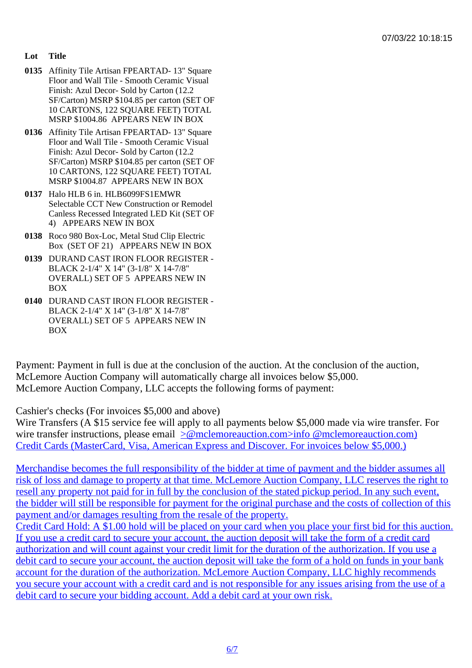## Lot Title

- 0135 Affinity Tile Artisan FPEARTAD- 13" Square Floor and Wall Tile - Smooth Ceramic Visual Finish: Azul Decor- Sold by Carton (12.2 SF/Carton) MSRP \$104.85 per carton (SET OF 10 CARTONS, 122 SQUARE FEET) TOTAL MSRP \$1004.86 APPEARS NEW IN BOX
- 0136 Affinity Tile Artisan FPEARTAD- 13" Square Floor and Wall Tile - Smooth Ceramic Visual Finish: Azul Decor- Sold by Carton (12.2 SF/Carton) MSRP \$104.85 per carton (SET OF 10 CARTONS, 122 SQUARE FEET) TOTAL MSRP \$1004.87 APPEARS NEW IN BOX
- 0137 Halo HLB 6 in. HLB6099FS1EMWR Selectable CCT New Construction or Remodel Canless Recessed Integrated LED Kit (SET OF 4) APPEARS NEW IN BOX
- 0138 Roco 980 Box-Loc, Metal Stud Clip Electric Box (SET OF 21) APPEARS NEW IN BOX
- 0139 DURAND CAST IRON FLOOR REGISTER BLACK 2-1/4" X 14" (3-1/8" X 14-7/8" OVERALL) SET OF 5 APPEARS NEW IN BOX
- 0140 DURAND CAST IRON FLOOR REGISTER BLACK 2-1/4" X 14" (3-1/8" X 14-7/8" OVERALL) SET OF 5 APPEARS NEW IN BOX

Payment: Payment in full is due at the conclusion of the auction. At the conclusion of the auction, McLemore Auction Company will automatically charge all invoices below \$5,000. McLemore Auction Company, LLC accepts the following forms of payment:

Cashier's checks (For invoices \$5,000 and above)

Wire Transfers (A \$15 service fee will apply to all payments below \$5,000 made via wire transfer. For wire transfer instructions, please email molemoreauction.com>info @mclemoreauction.com) Credit Cards (MasterCard, Visa, American Express and Discover. For invoices below \$5,000.)

Merchandise becomes the full resp[onsibility of the bidder at time of payment and the bidd](mailto:info@mclemoreauction.com</c:alink)er assumes a [risk of loss and damage to property at that time. McLemore Auction Company, LLC re](mailto:info@mclemoreauction.com</c:alink)serves the right to resell any property not paid for in full by the conclusion of the stated pickup period. In any such event, [the bidder will still be responsible for payment for the original purchase and the costs of collecti](mailto:info@mclemoreauction.com</c:alink)on of this [payment and/or damages resulting from the resale of the property.](mailto:info@mclemoreauction.com</c:alink) [Credit Card Hold: A \\$1.00 hold will be placed on your card when you place your first bid for th](mailto:info@mclemoreauction.com</c:alink)is auction.

[If you use a credit card to secure your account, the auction deposit will take the form of a credit c](mailto:info@mclemoreauction.com</c:alink)ard [authorization and will count against your credit limit for the d](mailto:info@mclemoreauction.com</c:alink)uration of the authorization. If you use a [debit card to secure your account, the auction deposit will take the form of a hold on funds in you](mailto:info@mclemoreauction.com</c:alink)r bank [account for the duration of the authorization. McLemore Auction Company, LLC highly reco](mailto:info@mclemoreauction.com</c:alink)mmends [you secure your account with a credit card and is not responsible for any issues arising from](mailto:info@mclemoreauction.com</c:alink) the use of [debit card to secure your bidding account. Add a debit card at your own risk.](mailto:info@mclemoreauction.com</c:alink)